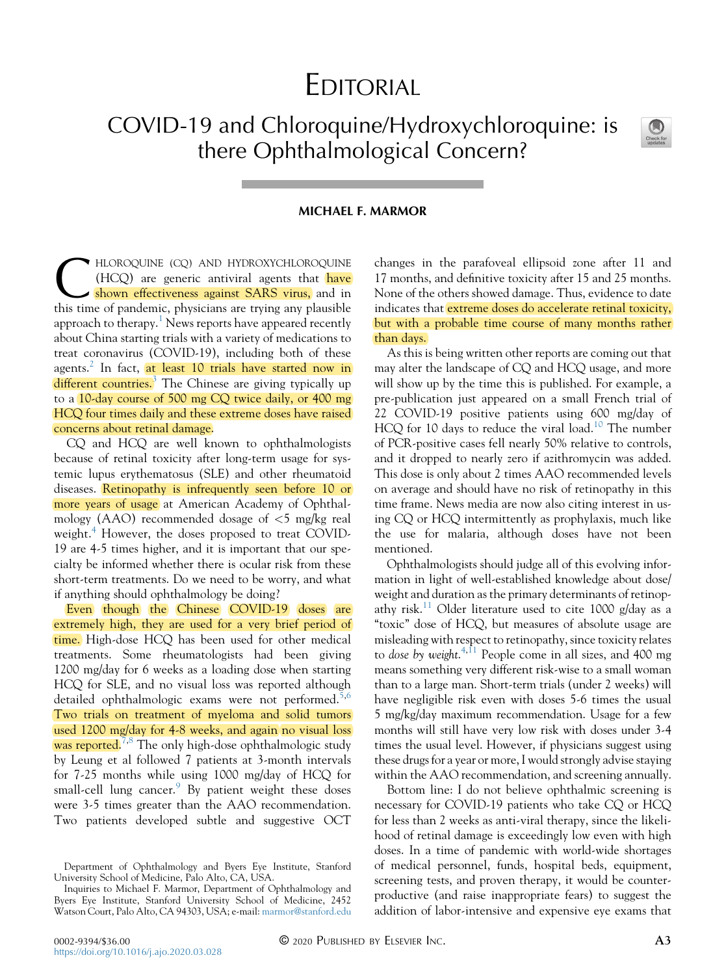## EDITORIAL

COVID-19 and Chloroquine/Hydroxychloroquine: is there Ophthalmological Concern?



## MICHAEL F. MARMOR

HLOROQUINE (CQ) AND HYDROXYCHLOROQUINE (HCQ) are generic antiviral agents that have shown effectiveness against SARS virus, and in this time of pandemic, physicians are trying any plausible  $(HCQ)$  are generic antiviral agents that have shown effectiveness against SARS virus, and in approach to therapy.<sup>1</sup> News reports have appeared recently about China starting trials with a variety of medications to treat coronavirus (COVID-19), including both of these agents.<sup>2</sup> In fact, at least 10 trials have started now in  $different$  countries.<sup>3</sup> The Chinese are giving typically up to a 10-day course of 500 mg CQ twice daily, or 400 mg HCQ four times daily and these extreme doses have raised concerns about retinal damage.

CQ and HCQ are well known to ophthalmologists because of retinal toxicity after long-term usage for systemic lupus erythematosus (SLE) and other rheumatoid diseases. Retinopathy is infrequently seen before 10 or more years of usage at American Academy of Ophthalmology (AAO) recommended dosage of  $\lt$ 5 mg/kg real weight.<sup>4</sup> However, the doses proposed to treat COVID-19 are 4-5 times higher, and it is important that our specialty be informed whether there is ocular risk from these short-term treatments. Do we need to be worry, and what if anything should ophthalmology be doing?

Even though the Chinese COVID-19 doses are extremely high, they are used for a very brief period of time. High-dose HCQ has been used for other medical treatments. Some rheumatologists had been giving 1200 mg/day for 6 weeks as a loading dose when starting HCQ for SLE, and no visual loss was reported although detailed ophthalmologic exams were not performed.<sup>5,6</sup> Two trials on treatment of myeloma and solid tumors used 1200 mg/day for 4-8 weeks, and again no visual loss was reported.<sup>7,8</sup> The only high-dose ophthalmologic study by Leung et al followed 7 patients at 3-month intervals for 7-25 months while using 1000 mg/day of HCQ for small-cell lung cancer. $9$  By patient weight these doses were 3-5 times greater than the AAO recommendation. Two patients developed subtle and suggestive OCT

changes in the parafoveal ellipsoid zone after 11 and 17 months, and definitive toxicity after 15 and 25 months. None of the others showed damage. Thus, evidence to date indicates that *extreme doses do accelerate retinal toxicity*, but with a probable time course of many months rather than days.

As this is being written other reports are coming out that may alter the landscape of CQ and HCQ usage, and more will show up by the time this is published. For example, a pre-publication just appeared on a small French trial of 22 COVID-19 positive patients using 600 mg/day of HCQ for 10 days to reduce the viral load.<sup>10</sup> The number of PCR-positive cases fell nearly 50% relative to controls, and it dropped to nearly zero if azithromycin was added. This dose is only about 2 times AAO recommended levels on average and should have no risk of retinopathy in this time frame. News media are now also citing interest in using CQ or HCQ intermittently as prophylaxis, much like the use for malaria, although doses have not been mentioned.

Ophthalmologists should judge all of this evolving information in light of well-established knowledge about dose/ weight and duration as the primary determinants of retinopathy risk.<sup>11</sup> Older literature used to cite 1000 g/day as a "toxic" dose of HCQ, but measures of absolute usage are misleading with respect to retinopathy, since toxicity relates to dose by weight.<sup>4,11</sup> People come in all sizes, and 400 mg means something very different risk-wise to a small woman than to a large man. Short-term trials (under 2 weeks) will have negligible risk even with doses 5-6 times the usual 5 mg/kg/day maximum recommendation. Usage for a few months will still have very low risk with doses under 3-4 times the usual level. However, if physicians suggest using these drugs for a year or more, I would strongly advise staying within the AAO recommendation, and screening annually.

Bottom line: I do not believe ophthalmic screening is necessary for COVID-19 patients who take CQ or HCQ for less than 2 weeks as anti-viral therapy, since the likelihood of retinal damage is exceedingly low even with high doses. In a time of pandemic with world-wide shortages of medical personnel, funds, hospital beds, equipment, screening tests, and proven therapy, it would be counterproductive (and raise inappropriate fears) to suggest the addition of labor-intensive and expensive eye exams that

Department of Ophthalmology and Byers Eye Institute, Stanford University School of Medicine, Palo Alto, CA, USA.

Inquiries to Michael F. Marmor, Department of Ophthalmology and Byers Eye Institute, Stanford University School of Medicine, 2452 Watson Court, Palo Alto, CA 94303, USA; e-mail: [marmor@stanford.edu](mailto:marmor@stanford.edu)